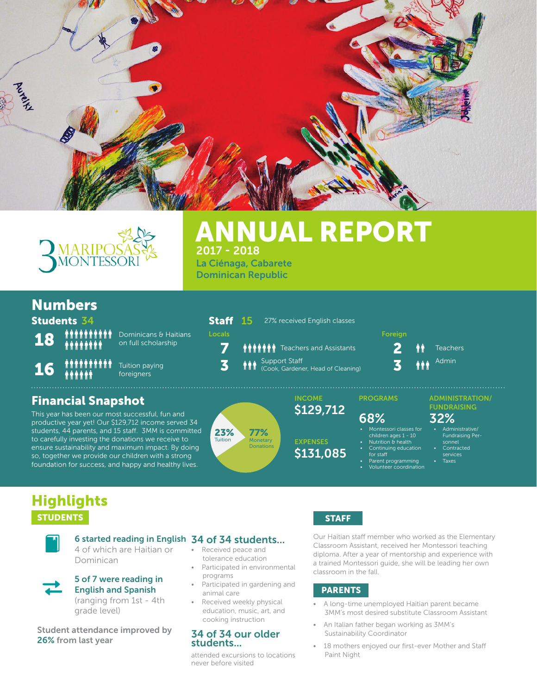



## 2017 - 2018 ANNUAL REPORT La Ciénaga, Cabarete

Dominican Republic

Staff 15 27% received English classes

Support Staff

## Numbers

Students 34

16

18

Dominicans & Haitians on full scholarship

Tuition paying foreigners

## Financial Snapshot

This year has been our most successful, fun and productive year yet! Our \$129,712 income served 34 students, 44 parents, and 15 staff. 3MM is committed to carefully investing the donations we receive to ensure sustainability and maximum impact. By doing so, together we provide our children with a strong foundation for success, and happy and healthy lives.





**EXPENSES** \$131,085

Continuing educatior

- for staff Parent programming
- 

#### **7**  $\bullet$   $\bullet$   $\bullet$   $\bullet$   $\bullet$   $\bullet$  Teachers and Assistants **2**  $\bullet$   $\bullet$  Teachers  $\mathbf 3$  **in i** Support Staff ead of Cleaning) **3** Locals Foreign Contract Contract Contract Contract Contract Contract Contract Contract Contract Contract Contract Contract Contract Contract Contract Contract Contract Contract Contract Contract Contract Contract Contract Admin

## ADMINISTRATION/

FUNDRAISING

- Fundraising Per-
- children ages 1 10 Nutrition & health
	- services
		- **Taxes**
	- Volunteer coordination

• Montessori classes for

## **Highlights** STUDENTS STAFF STAFF STAFF STAFF STAFF STAFF STAFF STAFF STAFF STAFF STAFF STAFF STAFF STAFF STAFF STAFF STAFF



4 of which are Haitian or Dominican

#### 5 of 7 were reading in English and Spanish

(ranging from 1st - 4th grade level)

Student attendance improved by 26% from last year

### 6 started reading in English 34 of 34 students...

- Received peace and tolerance education
- Participated in environmental programs
- Participated in gardening and animal care
- Received weekly physical education, music, art, and cooking instruction

#### 34 of 34 our older students...

attended excursions to locations never before visited

Our Haitian staff member who worked as the Elementary Classroom Assistant, received her Montessori teaching diploma. After a year of mentorship and experience with a trained Montessori guide, she will be leading her own classroom in the fall.

#### PARENTS

- A long-time unemployed Haitian parent became 3MM's most desired substitute Classroom Assistant
- An Italian father began working as 3MM's Sustainability Coordinator
- 18 mothers enjoyed our first-ever Mother and Staff Paint Night